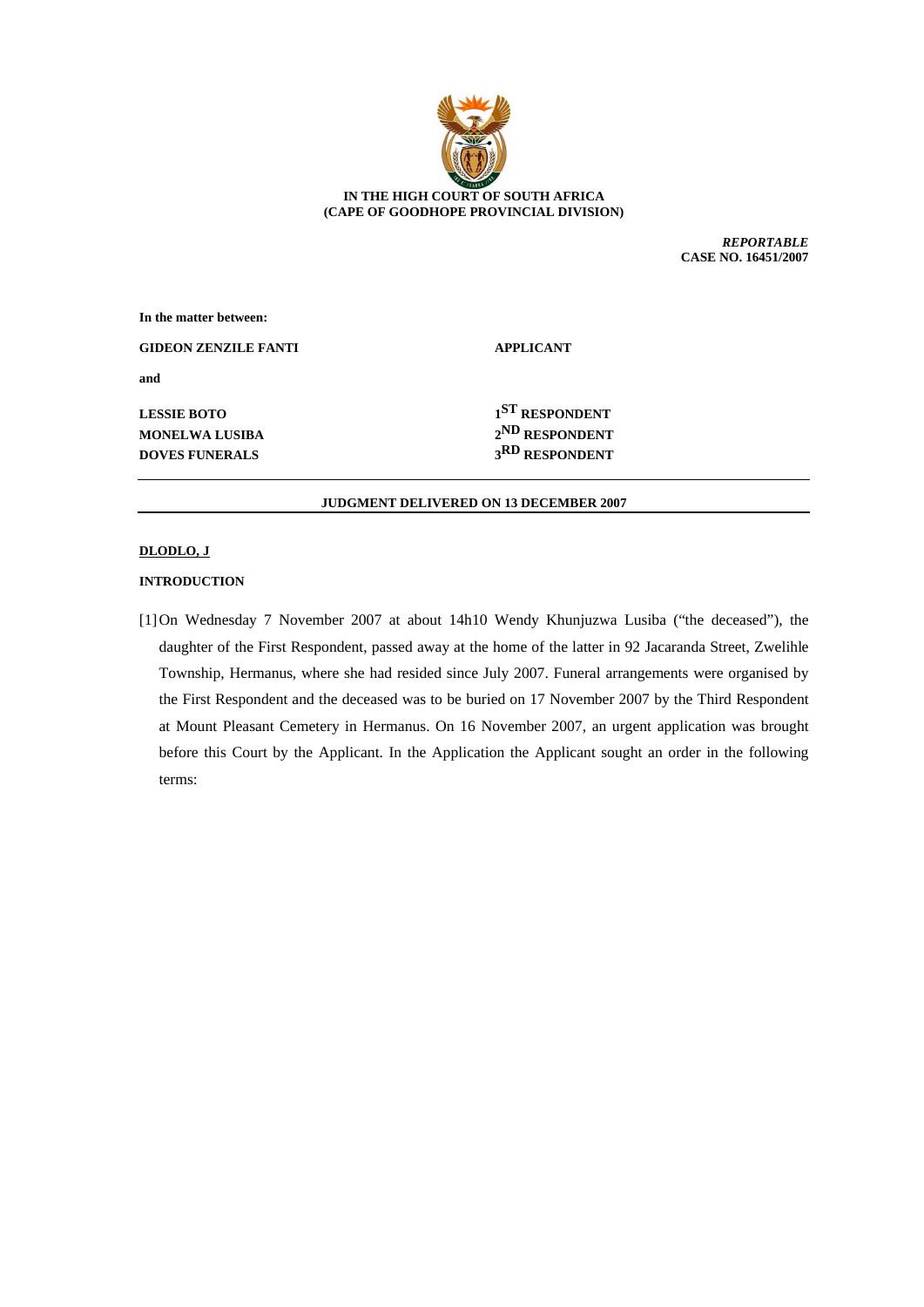

# **IN THE HIGH COURT OF SOUTH AFRICA (CAPE OF GOODHOPE PROVINCIAL DIVISION)**

*REPORTABLE* **CASE NO. 16451/2007**

| In the matter between:      |                            |
|-----------------------------|----------------------------|
| <b>GIDEON ZENZILE FANTI</b> | <b>APPLICANT</b>           |
| and                         |                            |
| <b>LESSIE BOTO</b>          | 1 <sup>ST</sup> RESPONDENT |
| <b>MONELWA LUSIBA</b>       | 2 <sup>ND</sup> RESPONDENT |
| <b>DOVES FUNERALS</b>       | 3RD RESPONDENT             |

### **JUDGMENT DELIVERED ON 13 DECEMBER 2007**

## **DLODLO, J**

## **INTRODUCTION**

[1]On Wednesday 7 November 2007 at about 14h10 Wendy Khunjuzwa Lusiba ("the deceased"), the daughter of the First Respondent, passed away at the home of the latter in 92 Jacaranda Street, Zwelihle Township, Hermanus, where she had resided since July 2007. Funeral arrangements were organised by the First Respondent and the deceased was to be buried on 17 November 2007 by the Third Respondent at Mount Pleasant Cemetery in Hermanus. On 16 November 2007, an urgent application was brought before this Court by the Applicant. In the Application the Applicant sought an order in the following terms: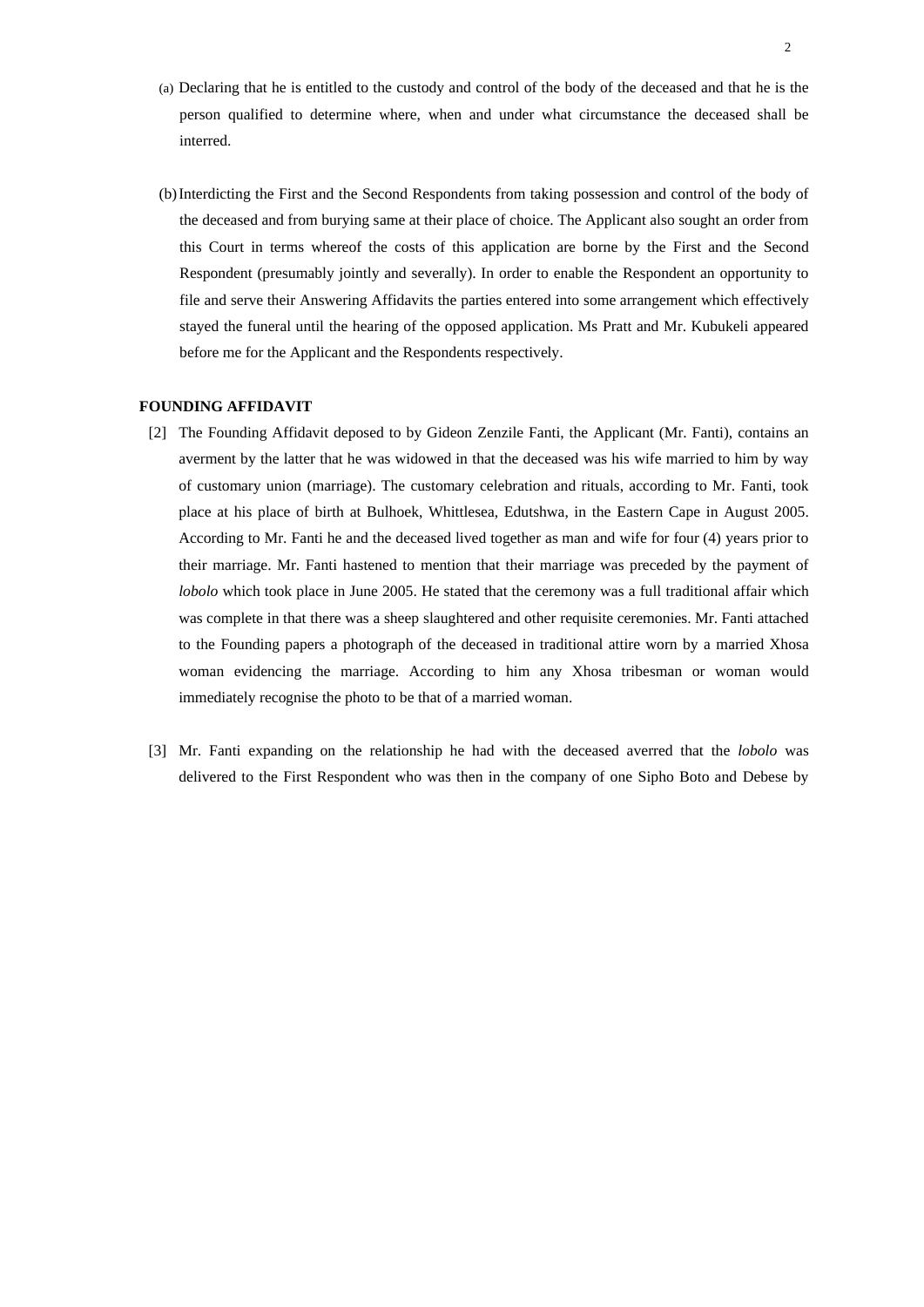- (a) Declaring that he is entitled to the custody and control of the body of the deceased and that he is the person qualified to determine where, when and under what circumstance the deceased shall be interred.
- (b)Interdicting the First and the Second Respondents from taking possession and control of the body of the deceased and from burying same at their place of choice. The Applicant also sought an order from this Court in terms whereof the costs of this application are borne by the First and the Second Respondent (presumably jointly and severally). In order to enable the Respondent an opportunity to file and serve their Answering Affidavits the parties entered into some arrangement which effectively stayed the funeral until the hearing of the opposed application. Ms Pratt and Mr. Kubukeli appeared before me for the Applicant and the Respondents respectively.

## **FOUNDING AFFIDAVIT**

- [2] The Founding Affidavit deposed to by Gideon Zenzile Fanti, the Applicant (Mr. Fanti), contains an averment by the latter that he was widowed in that the deceased was his wife married to him by way of customary union (marriage). The customary celebration and rituals, according to Mr. Fanti, took place at his place of birth at Bulhoek, Whittlesea, Edutshwa, in the Eastern Cape in August 2005. According to Mr. Fanti he and the deceased lived together as man and wife for four (4) years prior to their marriage. Mr. Fanti hastened to mention that their marriage was preceded by the payment of *lobolo* which took place in June 2005. He stated that the ceremony was a full traditional affair which was complete in that there was a sheep slaughtered and other requisite ceremonies. Mr. Fanti attached to the Founding papers a photograph of the deceased in traditional attire worn by a married Xhosa woman evidencing the marriage. According to him any Xhosa tribesman or woman would immediately recognise the photo to be that of a married woman.
- [3] Mr. Fanti expanding on the relationship he had with the deceased averred that the *lobolo* was delivered to the First Respondent who was then in the company of one Sipho Boto and Debese by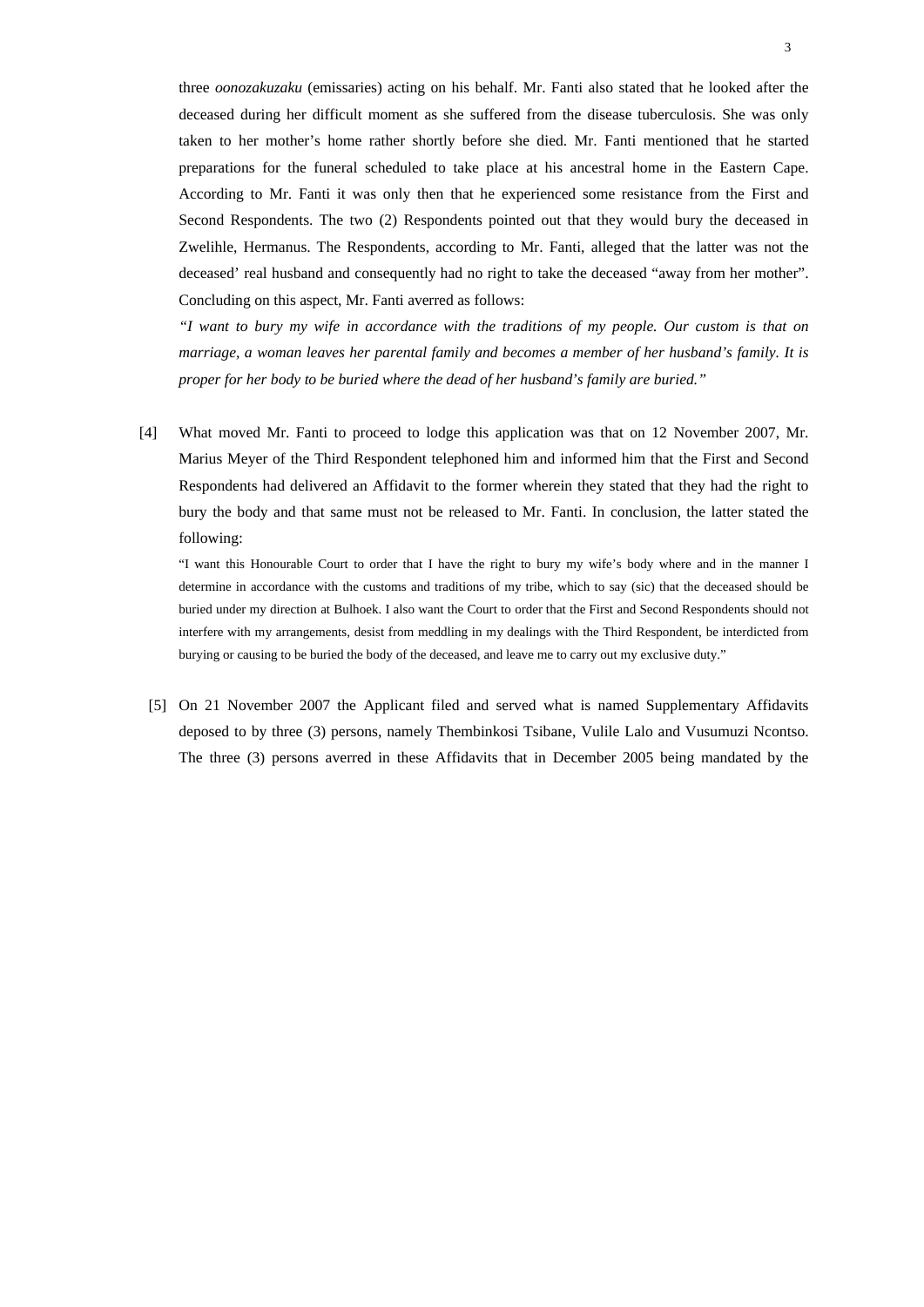three *oonozakuzaku* (emissaries) acting on his behalf. Mr. Fanti also stated that he looked after the deceased during her difficult moment as she suffered from the disease tuberculosis. She was only taken to her mother's home rather shortly before she died. Mr. Fanti mentioned that he started preparations for the funeral scheduled to take place at his ancestral home in the Eastern Cape. According to Mr. Fanti it was only then that he experienced some resistance from the First and Second Respondents. The two (2) Respondents pointed out that they would bury the deceased in Zwelihle, Hermanus. The Respondents, according to Mr. Fanti, alleged that the latter was not the deceased' real husband and consequently had no right to take the deceased "away from her mother". Concluding on this aspect, Mr. Fanti averred as follows:

*"I want to bury my wife in accordance with the traditions of my people. Our custom is that on marriage, a woman leaves her parental family and becomes a member of her husband's family. It is proper for her body to be buried where the dead of her husband's family are buried."*

[4] What moved Mr. Fanti to proceed to lodge this application was that on 12 November 2007, Mr. Marius Meyer of the Third Respondent telephoned him and informed him that the First and Second Respondents had delivered an Affidavit to the former wherein they stated that they had the right to bury the body and that same must not be released to Mr. Fanti. In conclusion, the latter stated the following:

"I want this Honourable Court to order that I have the right to bury my wife's body where and in the manner I determine in accordance with the customs and traditions of my tribe, which to say (sic) that the deceased should be buried under my direction at Bulhoek. I also want the Court to order that the First and Second Respondents should not interfere with my arrangements, desist from meddling in my dealings with the Third Respondent, be interdicted from burying or causing to be buried the body of the deceased, and leave me to carry out my exclusive duty."

[5] On 21 November 2007 the Applicant filed and served what is named Supplementary Affidavits deposed to by three (3) persons, namely Thembinkosi Tsibane, Vulile Lalo and Vusumuzi Ncontso. The three (3) persons averred in these Affidavits that in December 2005 being mandated by the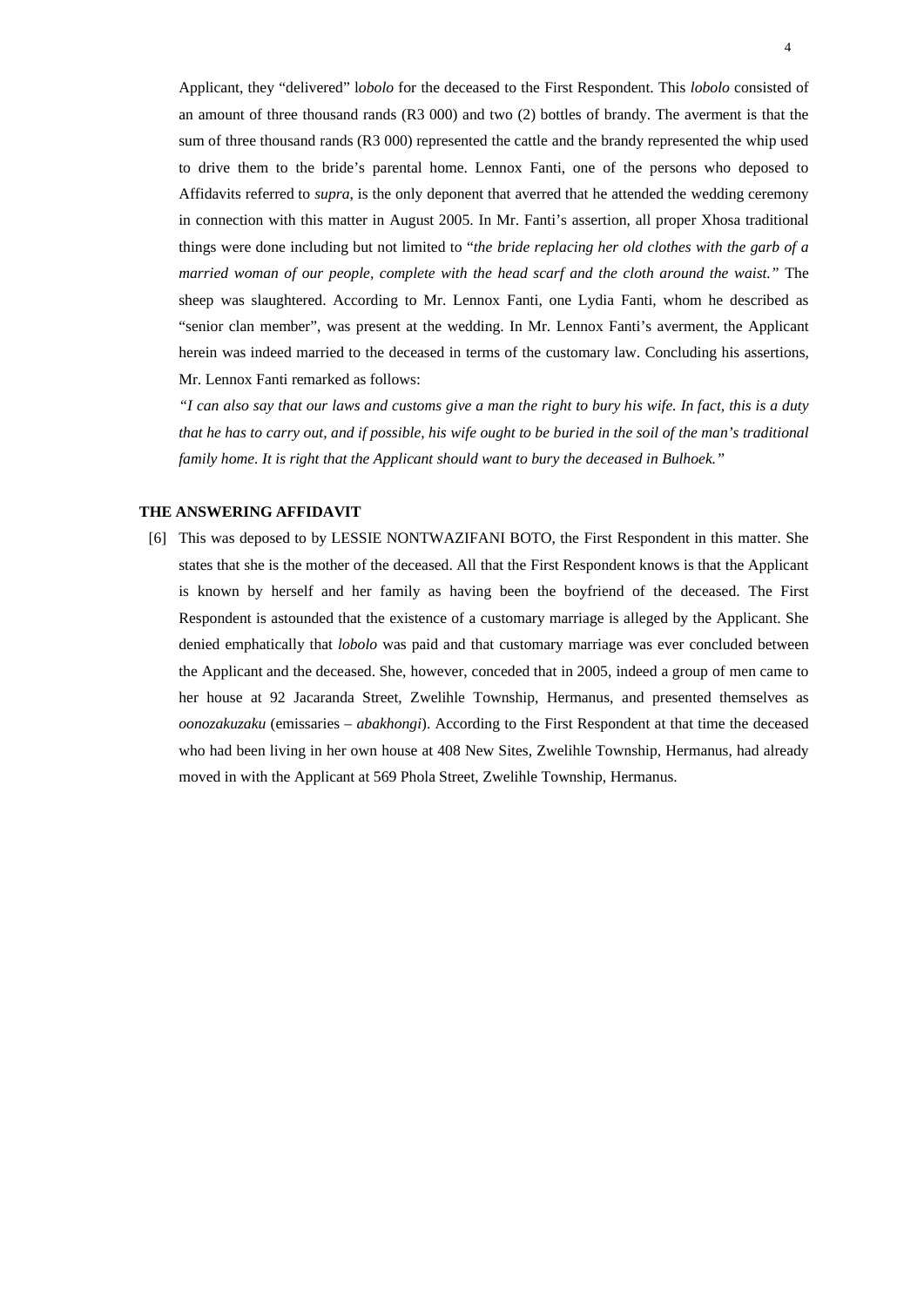Applicant, they "delivered" l*obolo* for the deceased to the First Respondent. This *lobolo* consisted of an amount of three thousand rands (R3 000) and two (2) bottles of brandy. The averment is that the sum of three thousand rands (R3 000) represented the cattle and the brandy represented the whip used to drive them to the bride's parental home. Lennox Fanti, one of the persons who deposed to Affidavits referred to *supra*, is the only deponent that averred that he attended the wedding ceremony in connection with this matter in August 2005. In Mr. Fanti's assertion, all proper Xhosa traditional things were done including but not limited to "*the bride replacing her old clothes with the garb of a married woman of our people, complete with the head scarf and the cloth around the waist."* The sheep was slaughtered. According to Mr. Lennox Fanti, one Lydia Fanti, whom he described as "senior clan member", was present at the wedding. In Mr. Lennox Fanti's averment, the Applicant herein was indeed married to the deceased in terms of the customary law. Concluding his assertions, Mr. Lennox Fanti remarked as follows:

*"I can also say that our laws and customs give a man the right to bury his wife. In fact, this is a duty that he has to carry out, and if possible, his wife ought to be buried in the soil of the man's traditional family home. It is right that the Applicant should want to bury the deceased in Bulhoek."* 

## **THE ANSWERING AFFIDAVIT**

[6] This was deposed to by LESSIE NONTWAZIFANI BOTO, the First Respondent in this matter. She states that she is the mother of the deceased. All that the First Respondent knows is that the Applicant is known by herself and her family as having been the boyfriend of the deceased. The First Respondent is astounded that the existence of a customary marriage is alleged by the Applicant. She denied emphatically that *lobolo* was paid and that customary marriage was ever concluded between the Applicant and the deceased. She, however, conceded that in 2005, indeed a group of men came to her house at 92 Jacaranda Street, Zwelihle Township, Hermanus, and presented themselves as *oonozakuzaku* (emissaries – *abakhongi*). According to the First Respondent at that time the deceased who had been living in her own house at 408 New Sites, Zwelihle Township, Hermanus, had already moved in with the Applicant at 569 Phola Street, Zwelihle Township, Hermanus.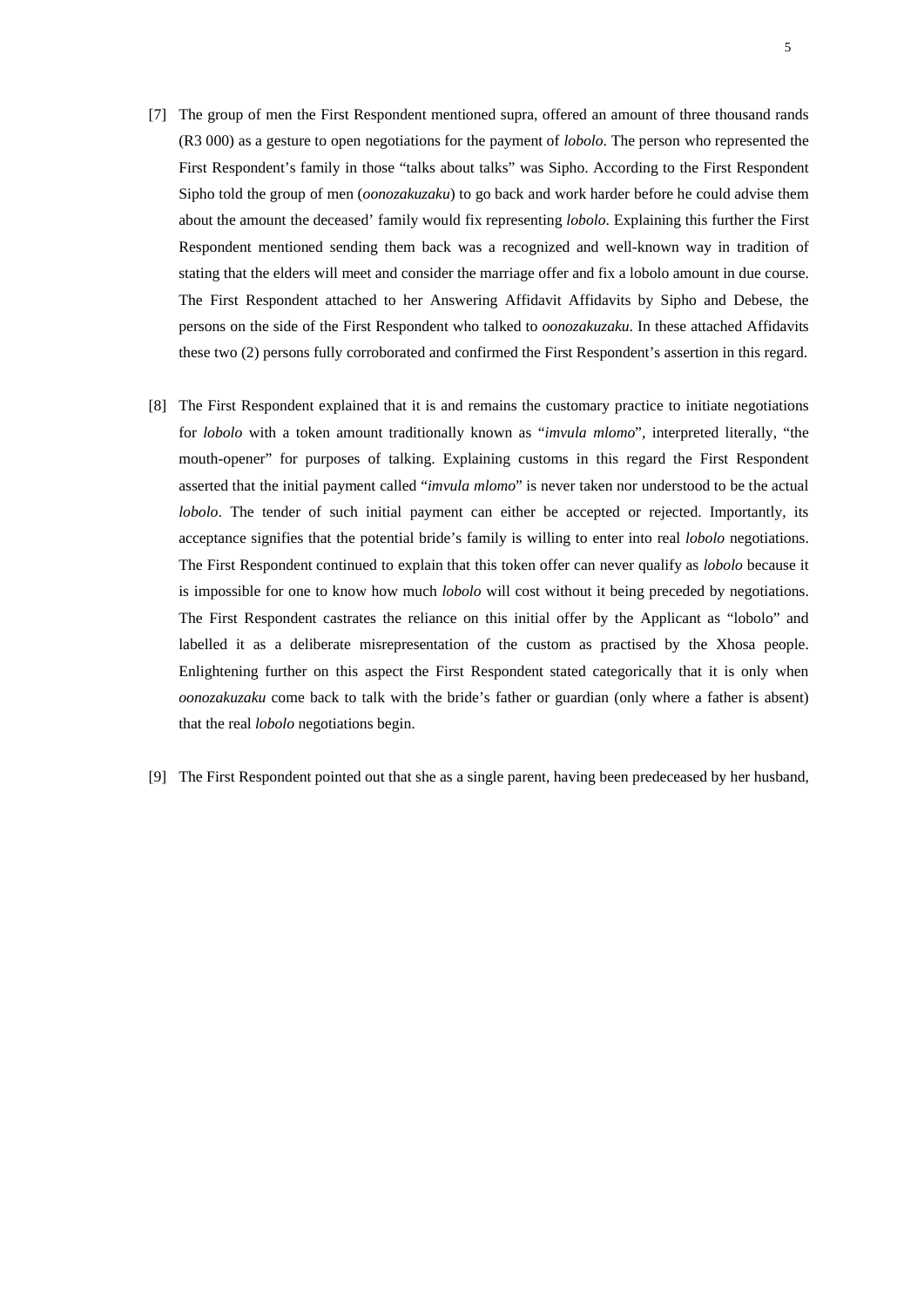- [7] The group of men the First Respondent mentioned supra, offered an amount of three thousand rands (R3 000) as a gesture to open negotiations for the payment of *lobolo*. The person who represented the First Respondent's family in those "talks about talks" was Sipho. According to the First Respondent Sipho told the group of men (*oonozakuzaku*) to go back and work harder before he could advise them about the amount the deceased' family would fix representing *lobolo*. Explaining this further the First Respondent mentioned sending them back was a recognized and well-known way in tradition of stating that the elders will meet and consider the marriage offer and fix a lobolo amount in due course. The First Respondent attached to her Answering Affidavit Affidavits by Sipho and Debese, the persons on the side of the First Respondent who talked to *oonozakuzaku*. In these attached Affidavits these two (2) persons fully corroborated and confirmed the First Respondent's assertion in this regard.
- [8] The First Respondent explained that it is and remains the customary practice to initiate negotiations for *lobolo* with a token amount traditionally known as "*imvula mlomo*", interpreted literally, "the mouth-opener" for purposes of talking. Explaining customs in this regard the First Respondent asserted that the initial payment called "*imvula mlomo*" is never taken nor understood to be the actual *lobolo*. The tender of such initial payment can either be accepted or rejected. Importantly, its acceptance signifies that the potential bride's family is willing to enter into real *lobolo* negotiations. The First Respondent continued to explain that this token offer can never qualify as *lobolo* because it is impossible for one to know how much *lobolo* will cost without it being preceded by negotiations. The First Respondent castrates the reliance on this initial offer by the Applicant as "lobolo" and labelled it as a deliberate misrepresentation of the custom as practised by the Xhosa people. Enlightening further on this aspect the First Respondent stated categorically that it is only when *oonozakuzaku* come back to talk with the bride's father or guardian (only where a father is absent) that the real *lobolo* negotiations begin.
- [9] The First Respondent pointed out that she as a single parent, having been predeceased by her husband,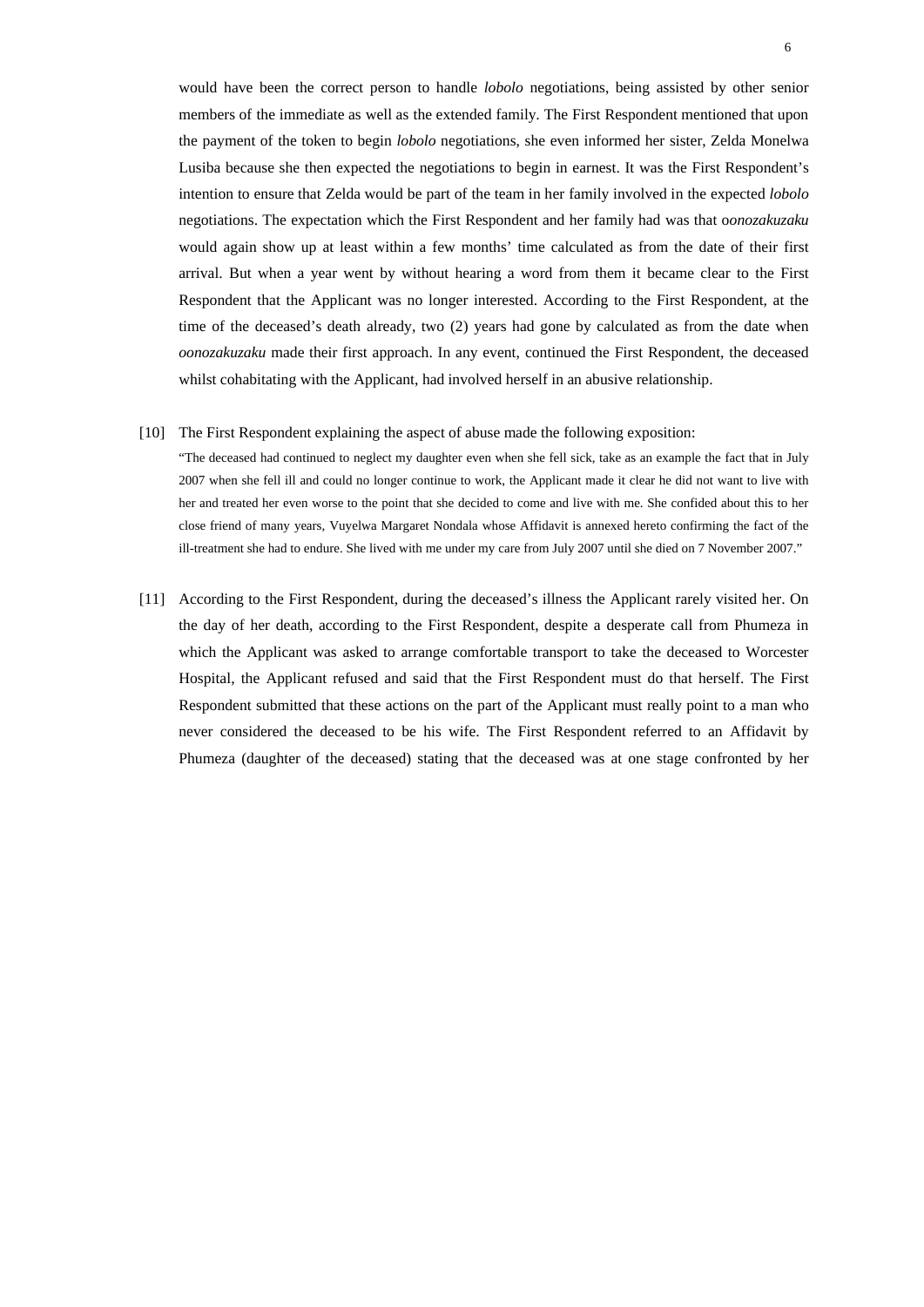would have been the correct person to handle *lobolo* negotiations, being assisted by other senior members of the immediate as well as the extended family. The First Respondent mentioned that upon the payment of the token to begin *lobolo* negotiations, she even informed her sister, Zelda Monelwa Lusiba because she then expected the negotiations to begin in earnest. It was the First Respondent's intention to ensure that Zelda would be part of the team in her family involved in the expected *lobolo* negotiations. The expectation which the First Respondent and her family had was that o*onozakuzaku* would again show up at least within a few months' time calculated as from the date of their first arrival. But when a year went by without hearing a word from them it became clear to the First Respondent that the Applicant was no longer interested. According to the First Respondent, at the time of the deceased's death already, two (2) years had gone by calculated as from the date when *oonozakuzaku* made their first approach. In any event, continued the First Respondent, the deceased whilst cohabitating with the Applicant, had involved herself in an abusive relationship.

[10] The First Respondent explaining the aspect of abuse made the following exposition:

"The deceased had continued to neglect my daughter even when she fell sick, take as an example the fact that in July 2007 when she fell ill and could no longer continue to work, the Applicant made it clear he did not want to live with her and treated her even worse to the point that she decided to come and live with me. She confided about this to her close friend of many years, Vuyelwa Margaret Nondala whose Affidavit is annexed hereto confirming the fact of the ill-treatment she had to endure. She lived with me under my care from July 2007 until she died on 7 November 2007."

[11] According to the First Respondent, during the deceased's illness the Applicant rarely visited her. On the day of her death, according to the First Respondent, despite a desperate call from Phumeza in which the Applicant was asked to arrange comfortable transport to take the deceased to Worcester Hospital, the Applicant refused and said that the First Respondent must do that herself. The First Respondent submitted that these actions on the part of the Applicant must really point to a man who never considered the deceased to be his wife. The First Respondent referred to an Affidavit by Phumeza (daughter of the deceased) stating that the deceased was at one stage confronted by her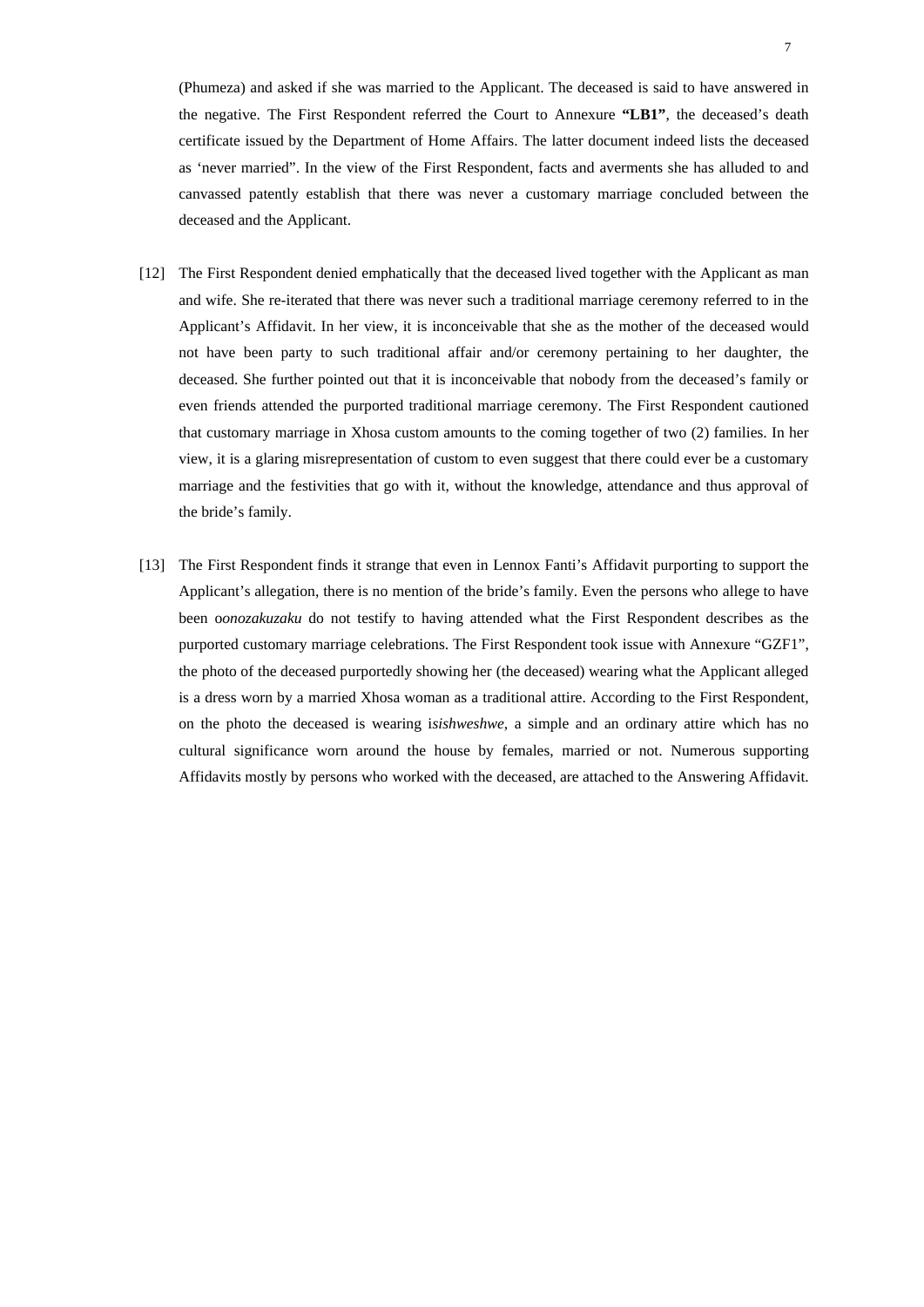(Phumeza) and asked if she was married to the Applicant. The deceased is said to have answered in the negative. The First Respondent referred the Court to Annexure **"LB1"**, the deceased's death certificate issued by the Department of Home Affairs. The latter document indeed lists the deceased as 'never married". In the view of the First Respondent, facts and averments she has alluded to and canvassed patently establish that there was never a customary marriage concluded between the deceased and the Applicant.

- [12] The First Respondent denied emphatically that the deceased lived together with the Applicant as man and wife. She re-iterated that there was never such a traditional marriage ceremony referred to in the Applicant's Affidavit. In her view, it is inconceivable that she as the mother of the deceased would not have been party to such traditional affair and/or ceremony pertaining to her daughter, the deceased. She further pointed out that it is inconceivable that nobody from the deceased's family or even friends attended the purported traditional marriage ceremony. The First Respondent cautioned that customary marriage in Xhosa custom amounts to the coming together of two (2) families. In her view, it is a glaring misrepresentation of custom to even suggest that there could ever be a customary marriage and the festivities that go with it, without the knowledge, attendance and thus approval of the bride's family.
- [13] The First Respondent finds it strange that even in Lennox Fanti's Affidavit purporting to support the Applicant's allegation, there is no mention of the bride's family. Even the persons who allege to have been o*onozakuzaku* do not testify to having attended what the First Respondent describes as the purported customary marriage celebrations. The First Respondent took issue with Annexure "GZF1", the photo of the deceased purportedly showing her (the deceased) wearing what the Applicant alleged is a dress worn by a married Xhosa woman as a traditional attire. According to the First Respondent, on the photo the deceased is wearing i*sishweshwe*, a simple and an ordinary attire which has no cultural significance worn around the house by females, married or not. Numerous supporting Affidavits mostly by persons who worked with the deceased, are attached to the Answering Affidavit.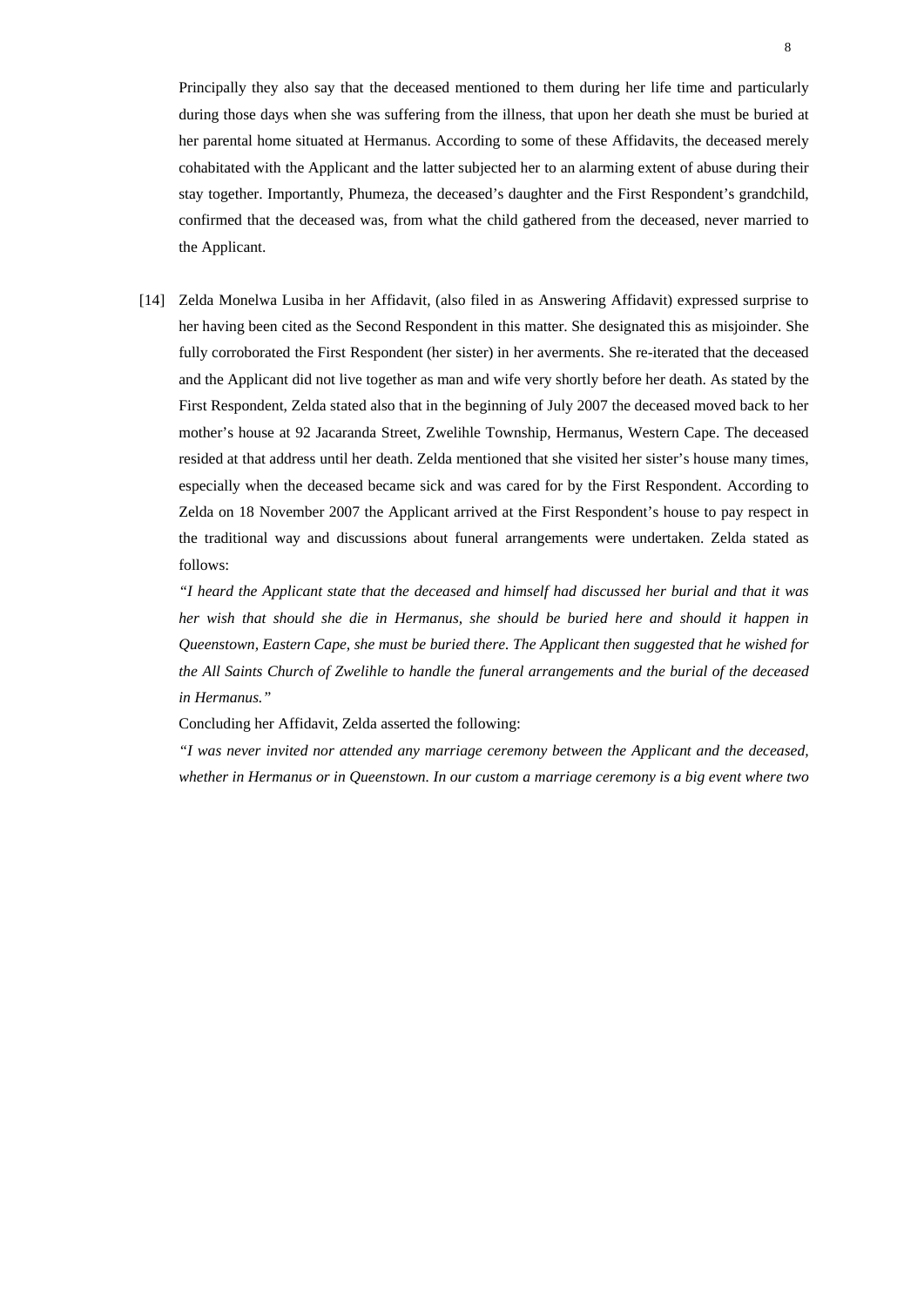Principally they also say that the deceased mentioned to them during her life time and particularly during those days when she was suffering from the illness, that upon her death she must be buried at her parental home situated at Hermanus. According to some of these Affidavits, the deceased merely cohabitated with the Applicant and the latter subjected her to an alarming extent of abuse during their stay together. Importantly, Phumeza, the deceased's daughter and the First Respondent's grandchild, confirmed that the deceased was, from what the child gathered from the deceased, never married to the Applicant.

[14] Zelda Monelwa Lusiba in her Affidavit, (also filed in as Answering Affidavit) expressed surprise to her having been cited as the Second Respondent in this matter. She designated this as misjoinder. She fully corroborated the First Respondent (her sister) in her averments. She re-iterated that the deceased and the Applicant did not live together as man and wife very shortly before her death. As stated by the First Respondent, Zelda stated also that in the beginning of July 2007 the deceased moved back to her mother's house at 92 Jacaranda Street, Zwelihle Township, Hermanus, Western Cape. The deceased resided at that address until her death. Zelda mentioned that she visited her sister's house many times, especially when the deceased became sick and was cared for by the First Respondent. According to Zelda on 18 November 2007 the Applicant arrived at the First Respondent's house to pay respect in the traditional way and discussions about funeral arrangements were undertaken. Zelda stated as follows:

*"I heard the Applicant state that the deceased and himself had discussed her burial and that it was her wish that should she die in Hermanus, she should be buried here and should it happen in Queenstown, Eastern Cape, she must be buried there. The Applicant then suggested that he wished for the All Saints Church of Zwelihle to handle the funeral arrangements and the burial of the deceased in Hermanus."*

Concluding her Affidavit, Zelda asserted the following:

*"I was never invited nor attended any marriage ceremony between the Applicant and the deceased, whether in Hermanus or in Queenstown. In our custom a marriage ceremony is a big event where two*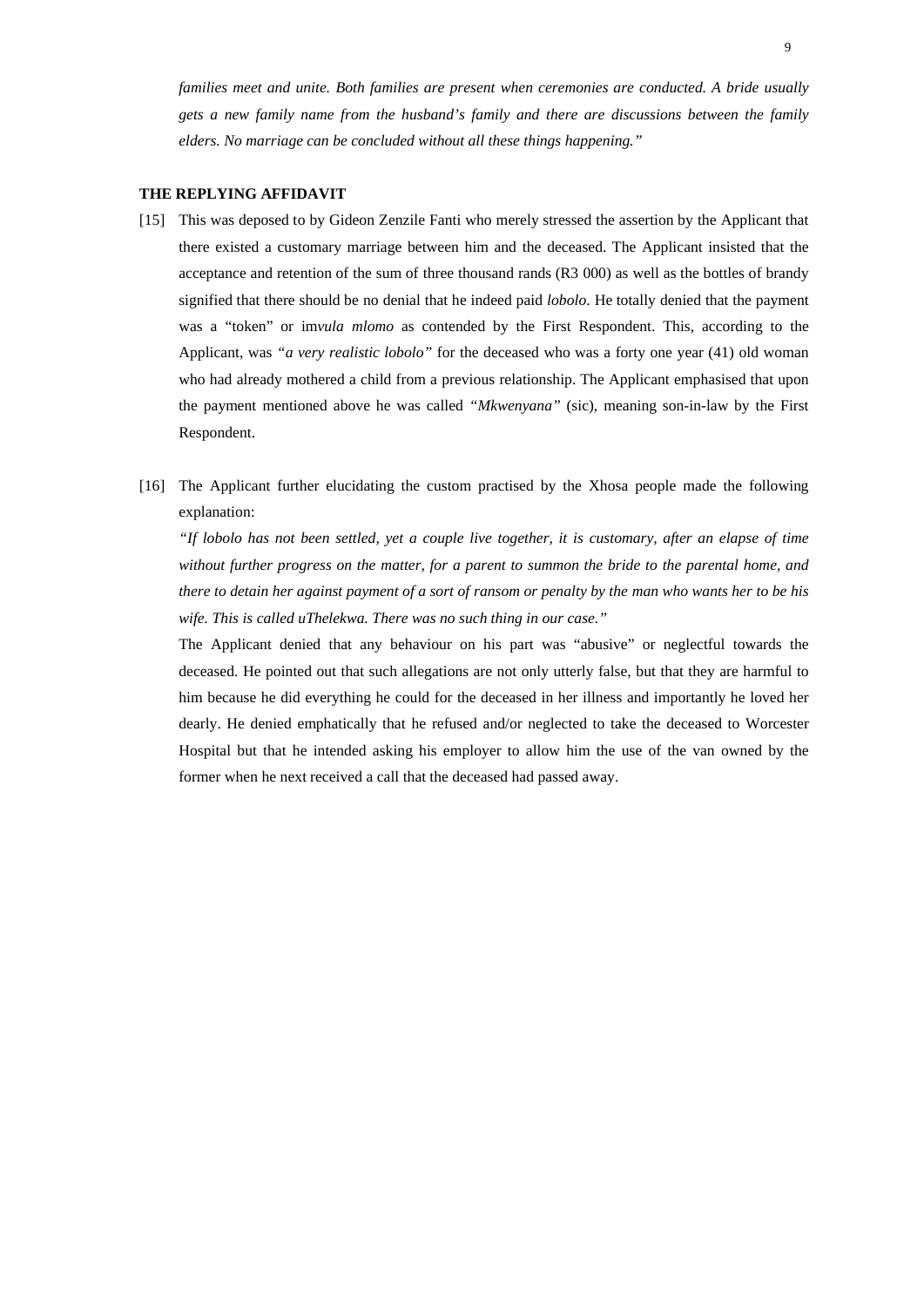*families meet and unite. Both families are present when ceremonies are conducted. A bride usually gets a new family name from the husband's family and there are discussions between the family elders. No marriage can be concluded without all these things happening."*

#### **THE REPLYING AFFIDAVIT**

- [15] This was deposed to by Gideon Zenzile Fanti who merely stressed the assertion by the Applicant that there existed a customary marriage between him and the deceased. The Applicant insisted that the acceptance and retention of the sum of three thousand rands (R3 000) as well as the bottles of brandy signified that there should be no denial that he indeed paid *lobolo*. He totally denied that the payment was a "token" or im*vula mlomo* as contended by the First Respondent. This, according to the Applicant, was *"a very realistic lobolo"* for the deceased who was a forty one year (41) old woman who had already mothered a child from a previous relationship. The Applicant emphasised that upon the payment mentioned above he was called *"Mkwenyana"* (sic), meaning son-in-law by the First Respondent.
- [16] The Applicant further elucidating the custom practised by the Xhosa people made the following explanation:

*"If lobolo has not been settled, yet a couple live together, it is customary, after an elapse of time without further progress on the matter, for a parent to summon the bride to the parental home, and there to detain her against payment of a sort of ransom or penalty by the man who wants her to be his wife. This is called uThelekwa. There was no such thing in our case."*

The Applicant denied that any behaviour on his part was "abusive" or neglectful towards the deceased. He pointed out that such allegations are not only utterly false, but that they are harmful to him because he did everything he could for the deceased in her illness and importantly he loved her dearly. He denied emphatically that he refused and/or neglected to take the deceased to Worcester Hospital but that he intended asking his employer to allow him the use of the van owned by the former when he next received a call that the deceased had passed away.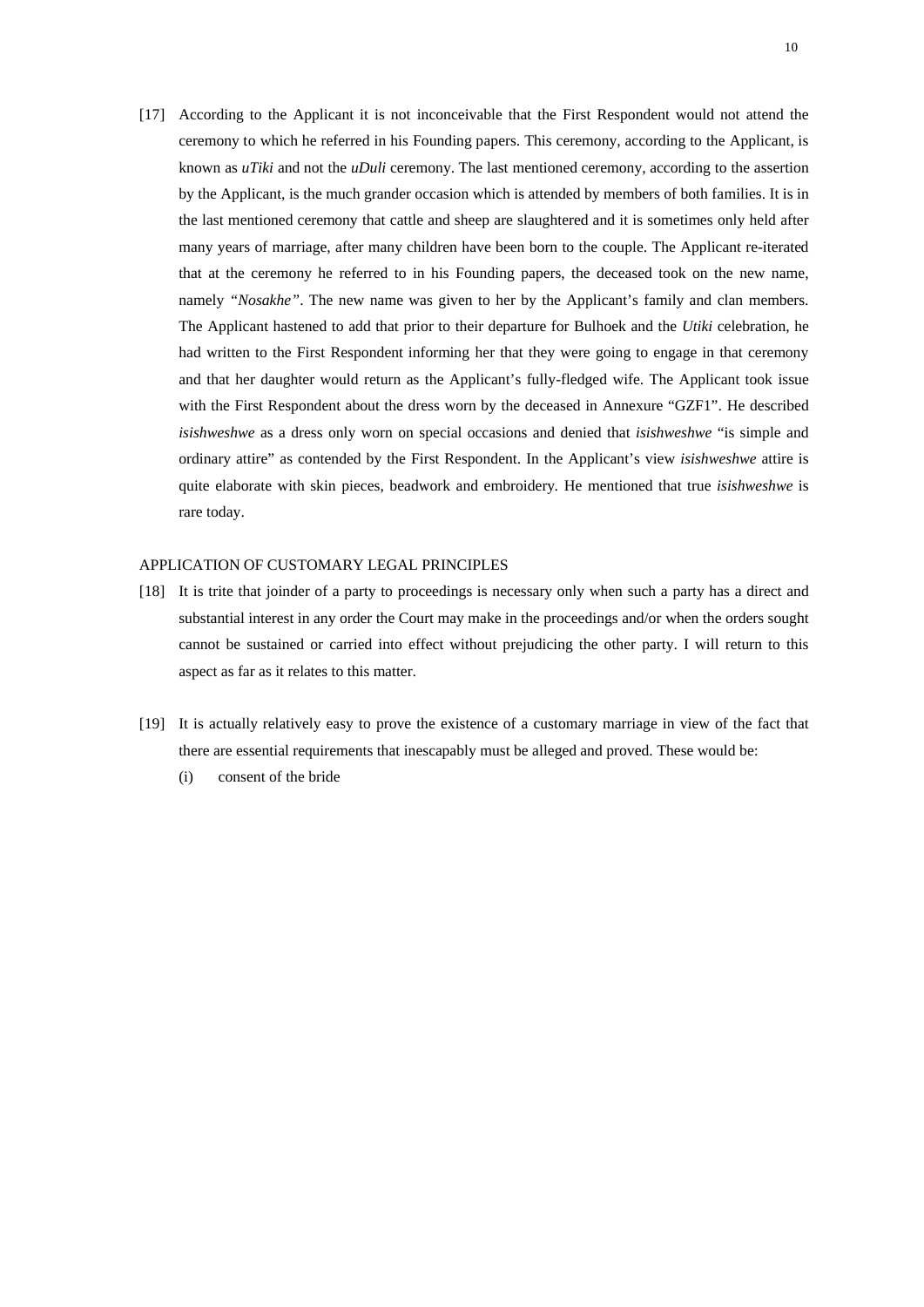[17] According to the Applicant it is not inconceivable that the First Respondent would not attend the ceremony to which he referred in his Founding papers. This ceremony, according to the Applicant, is known as *uTiki* and not the *uDuli* ceremony. The last mentioned ceremony, according to the assertion by the Applicant, is the much grander occasion which is attended by members of both families. It is in the last mentioned ceremony that cattle and sheep are slaughtered and it is sometimes only held after many years of marriage, after many children have been born to the couple. The Applicant re-iterated that at the ceremony he referred to in his Founding papers, the deceased took on the new name, namely *"Nosakhe"*. The new name was given to her by the Applicant's family and clan members. The Applicant hastened to add that prior to their departure for Bulhoek and the *Utiki* celebration, he had written to the First Respondent informing her that they were going to engage in that ceremony and that her daughter would return as the Applicant's fully-fledged wife. The Applicant took issue with the First Respondent about the dress worn by the deceased in Annexure "GZF1". He described *isishweshwe* as a dress only worn on special occasions and denied that *isishweshwe* "is simple and ordinary attire" as contended by the First Respondent. In the Applicant's view *isishweshwe* attire is quite elaborate with skin pieces, beadwork and embroidery. He mentioned that true *isishweshwe* is rare today.

### APPLICATION OF CUSTOMARY LEGAL PRINCIPLES

- [18] It is trite that joinder of a party to proceedings is necessary only when such a party has a direct and substantial interest in any order the Court may make in the proceedings and/or when the orders sought cannot be sustained or carried into effect without prejudicing the other party. I will return to this aspect as far as it relates to this matter.
- [19] It is actually relatively easy to prove the existence of a customary marriage in view of the fact that there are essential requirements that inescapably must be alleged and proved. These would be:
	- (i) consent of the bride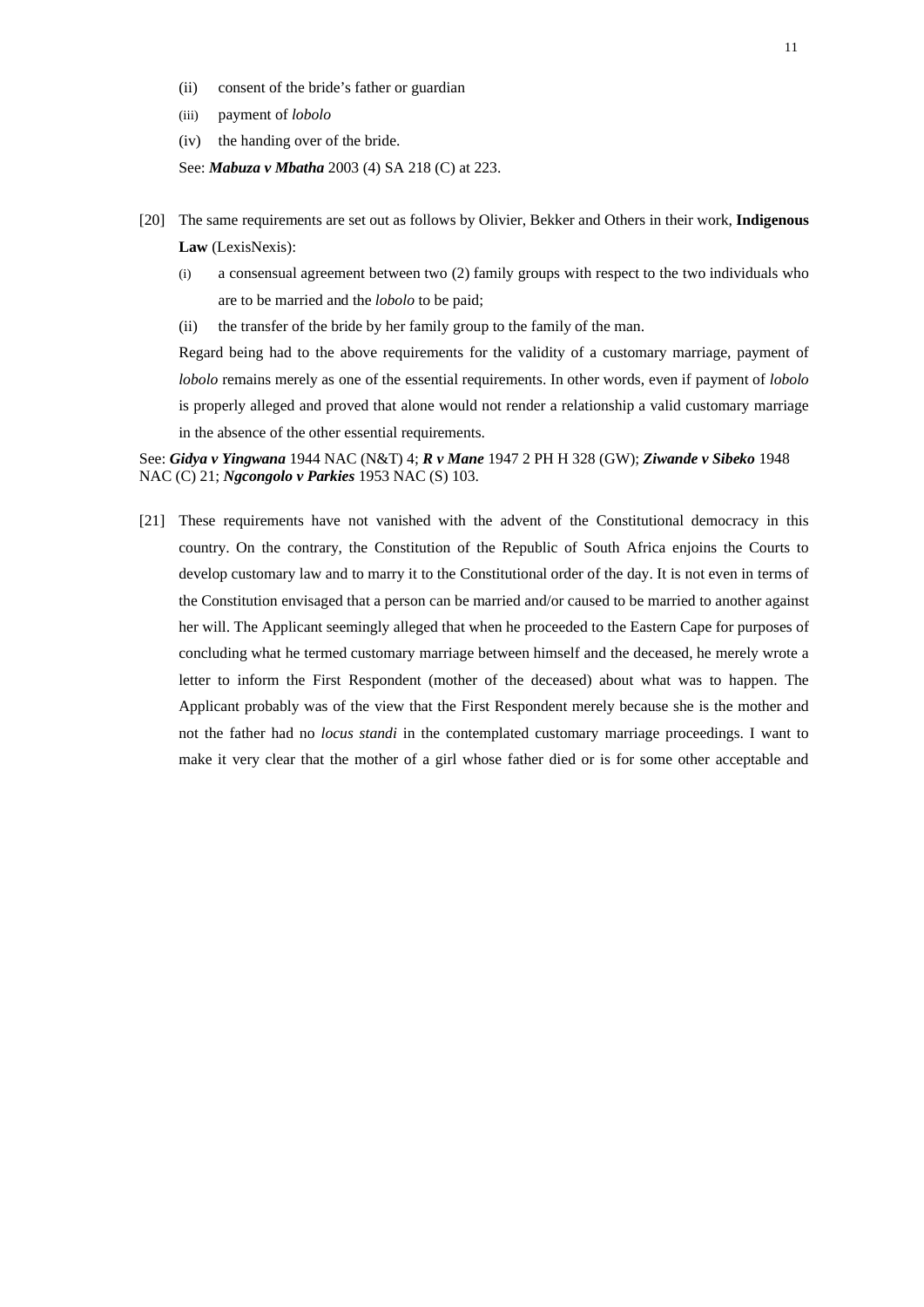- (ii) consent of the bride's father or guardian
- (iii) payment of *lobolo*
- (iv) the handing over of the bride.

See: *Mabuza v Mbatha* 2003 (4) SA 218 (C) at 223.

- [20] The same requirements are set out as follows by Olivier, Bekker and Others in their work, **Indigenous Law** (LexisNexis):
	- (i) a consensual agreement between two (2) family groups with respect to the two individuals who are to be married and the *lobolo* to be paid;
	- (ii) the transfer of the bride by her family group to the family of the man.

Regard being had to the above requirements for the validity of a customary marriage, payment of *lobolo* remains merely as one of the essential requirements. In other words, even if payment of *lobolo* is properly alleged and proved that alone would not render a relationship a valid customary marriage in the absence of the other essential requirements.

See: *Gidya v Yingwana* 1944 NAC (N&T) 4; *R v Mane* 1947 2 PH H 328 (GW); *Ziwande v Sibeko* 1948 NAC (C) 21; *Ngcongolo v Parkies* 1953 NAC (S) 103.

[21] These requirements have not vanished with the advent of the Constitutional democracy in this country. On the contrary, the Constitution of the Republic of South Africa enjoins the Courts to develop customary law and to marry it to the Constitutional order of the day. It is not even in terms of the Constitution envisaged that a person can be married and/or caused to be married to another against her will. The Applicant seemingly alleged that when he proceeded to the Eastern Cape for purposes of concluding what he termed customary marriage between himself and the deceased, he merely wrote a letter to inform the First Respondent (mother of the deceased) about what was to happen. The Applicant probably was of the view that the First Respondent merely because she is the mother and not the father had no *locus standi* in the contemplated customary marriage proceedings. I want to make it very clear that the mother of a girl whose father died or is for some other acceptable and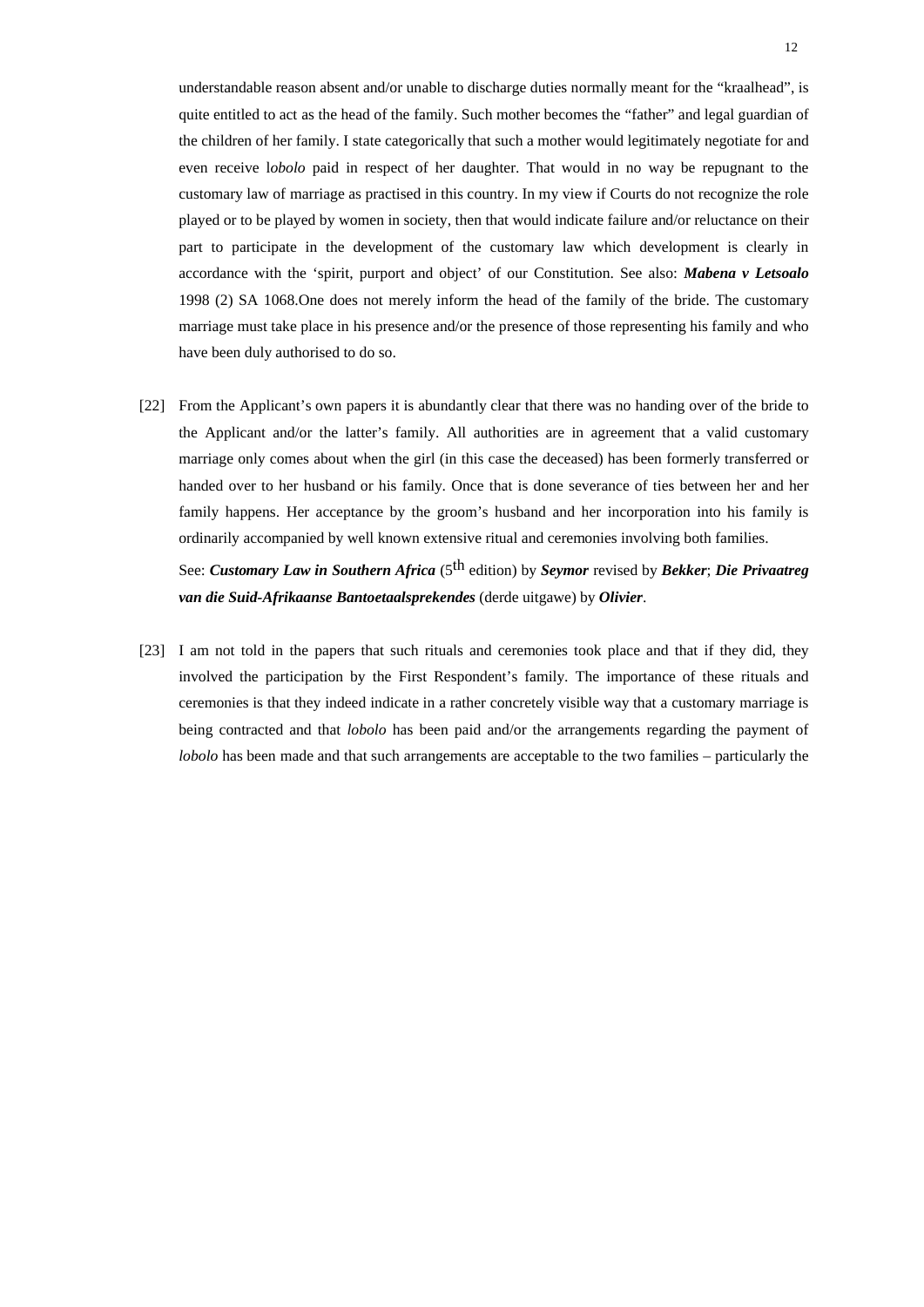understandable reason absent and/or unable to discharge duties normally meant for the "kraalhead", is quite entitled to act as the head of the family. Such mother becomes the "father" and legal guardian of the children of her family. I state categorically that such a mother would legitimately negotiate for and even receive l*obolo* paid in respect of her daughter. That would in no way be repugnant to the customary law of marriage as practised in this country. In my view if Courts do not recognize the role played or to be played by women in society, then that would indicate failure and/or reluctance on their part to participate in the development of the customary law which development is clearly in accordance with the 'spirit, purport and object' of our Constitution. See also: *Mabena v Letsoalo* 1998 (2) SA 1068.One does not merely inform the head of the family of the bride. The customary marriage must take place in his presence and/or the presence of those representing his family and who have been duly authorised to do so.

[22] From the Applicant's own papers it is abundantly clear that there was no handing over of the bride to the Applicant and/or the latter's family. All authorities are in agreement that a valid customary marriage only comes about when the girl (in this case the deceased) has been formerly transferred or handed over to her husband or his family. Once that is done severance of ties between her and her family happens. Her acceptance by the groom's husband and her incorporation into his family is ordinarily accompanied by well known extensive ritual and ceremonies involving both families.

See: *Customary Law in Southern Africa* (5th edition) by *Seymor* revised by *Bekker*; *Die Privaatreg van die Suid-Afrikaanse Bantoetaalsprekendes* (derde uitgawe) by *Olivier*.

[23] I am not told in the papers that such rituals and ceremonies took place and that if they did, they involved the participation by the First Respondent's family. The importance of these rituals and ceremonies is that they indeed indicate in a rather concretely visible way that a customary marriage is being contracted and that *lobolo* has been paid and/or the arrangements regarding the payment of *lobolo* has been made and that such arrangements are acceptable to the two families – particularly the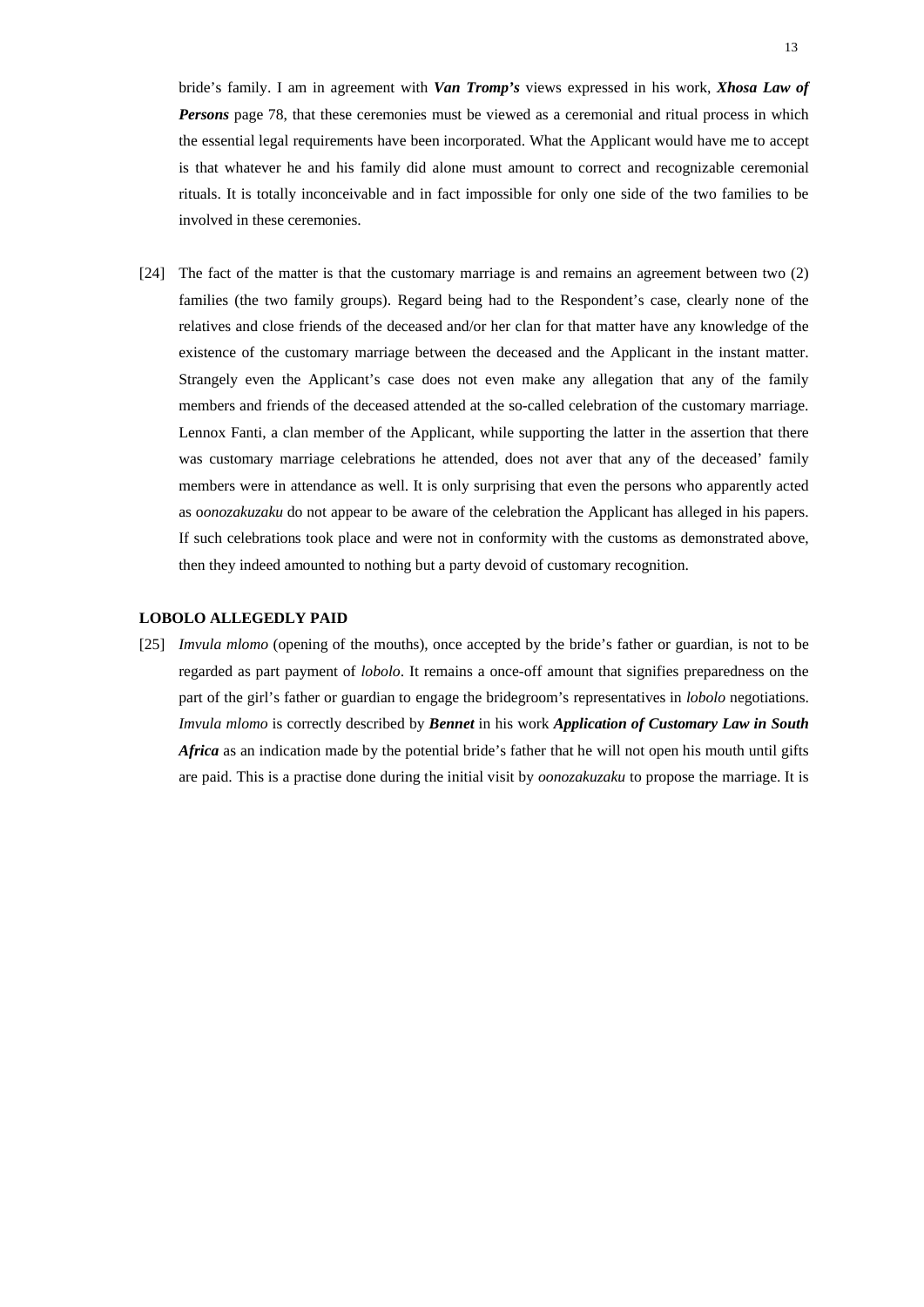bride's family. I am in agreement with *Van Tromp's* views expressed in his work, *Xhosa Law of Persons* page 78, that these ceremonies must be viewed as a ceremonial and ritual process in which the essential legal requirements have been incorporated. What the Applicant would have me to accept is that whatever he and his family did alone must amount to correct and recognizable ceremonial rituals. It is totally inconceivable and in fact impossible for only one side of the two families to be involved in these ceremonies.

[24] The fact of the matter is that the customary marriage is and remains an agreement between two (2) families (the two family groups). Regard being had to the Respondent's case, clearly none of the relatives and close friends of the deceased and/or her clan for that matter have any knowledge of the existence of the customary marriage between the deceased and the Applicant in the instant matter. Strangely even the Applicant's case does not even make any allegation that any of the family members and friends of the deceased attended at the so-called celebration of the customary marriage. Lennox Fanti, a clan member of the Applicant, while supporting the latter in the assertion that there was customary marriage celebrations he attended, does not aver that any of the deceased' family members were in attendance as well. It is only surprising that even the persons who apparently acted as o*onozakuzaku* do not appear to be aware of the celebration the Applicant has alleged in his papers. If such celebrations took place and were not in conformity with the customs as demonstrated above, then they indeed amounted to nothing but a party devoid of customary recognition.

#### **LOBOLO ALLEGEDLY PAID**

[25] *Imvula mlomo* (opening of the mouths), once accepted by the bride's father or guardian, is not to be regarded as part payment of *lobolo*. It remains a once-off amount that signifies preparedness on the part of the girl's father or guardian to engage the bridegroom's representatives in *lobolo* negotiations. *Imvula mlomo* is correctly described by *Bennet* in his work *Application of Customary Law in South Africa* as an indication made by the potential bride's father that he will not open his mouth until gifts are paid. This is a practise done during the initial visit by *oonozakuzaku* to propose the marriage. It is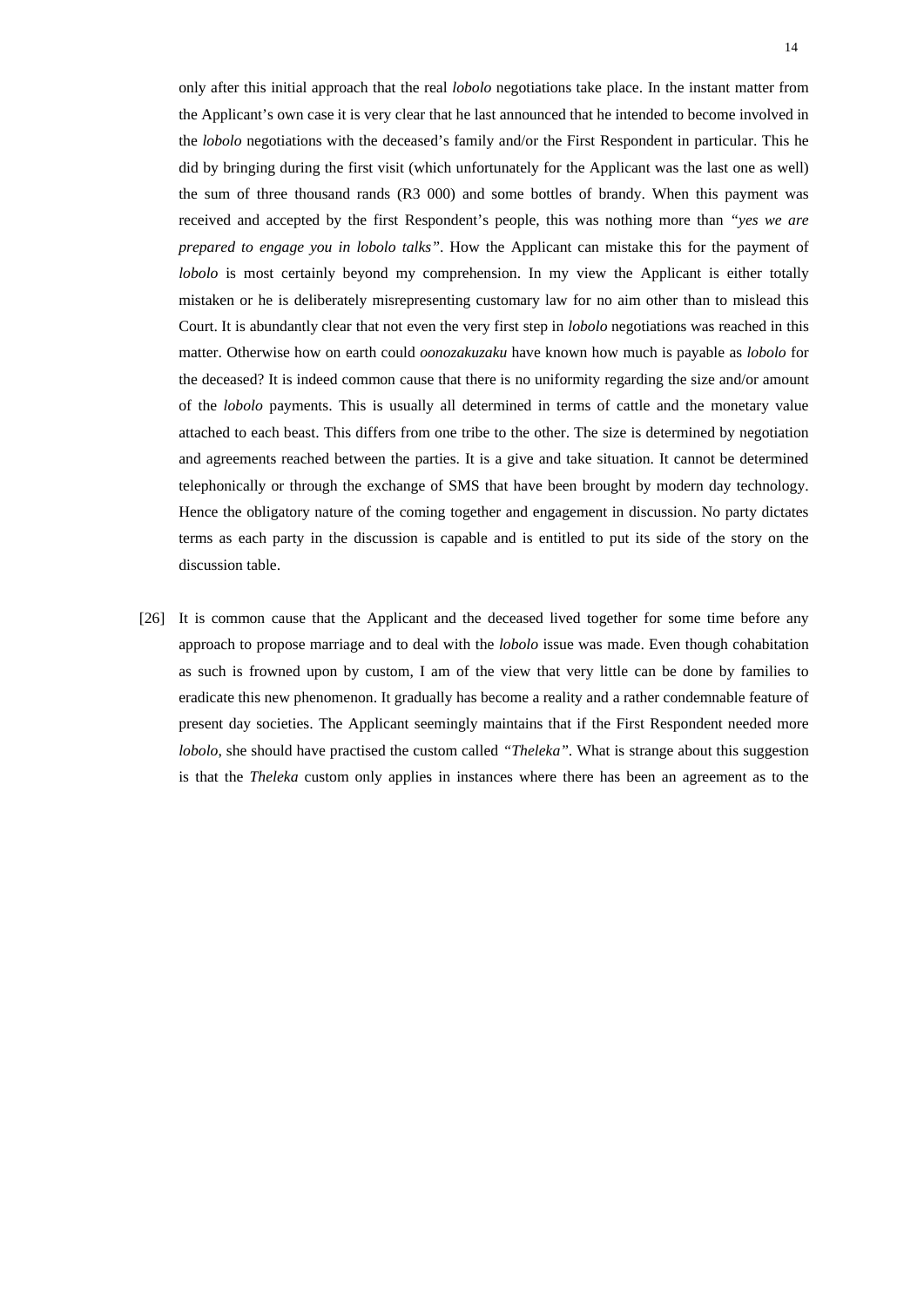only after this initial approach that the real *lobolo* negotiations take place. In the instant matter from the Applicant's own case it is very clear that he last announced that he intended to become involved in the *lobolo* negotiations with the deceased's family and/or the First Respondent in particular. This he did by bringing during the first visit (which unfortunately for the Applicant was the last one as well) the sum of three thousand rands (R3 000) and some bottles of brandy. When this payment was received and accepted by the first Respondent's people, this was nothing more than *"yes we are prepared to engage you in lobolo talks"*. How the Applicant can mistake this for the payment of *lobolo* is most certainly beyond my comprehension. In my view the Applicant is either totally mistaken or he is deliberately misrepresenting customary law for no aim other than to mislead this Court. It is abundantly clear that not even the very first step in *lobolo* negotiations was reached in this matter. Otherwise how on earth could *oonozakuzaku* have known how much is payable as *lobolo* for the deceased? It is indeed common cause that there is no uniformity regarding the size and/or amount of the *lobolo* payments. This is usually all determined in terms of cattle and the monetary value attached to each beast. This differs from one tribe to the other. The size is determined by negotiation and agreements reached between the parties. It is a give and take situation. It cannot be determined telephonically or through the exchange of SMS that have been brought by modern day technology. Hence the obligatory nature of the coming together and engagement in discussion. No party dictates terms as each party in the discussion is capable and is entitled to put its side of the story on the discussion table.

[26] It is common cause that the Applicant and the deceased lived together for some time before any approach to propose marriage and to deal with the *lobolo* issue was made. Even though cohabitation as such is frowned upon by custom, I am of the view that very little can be done by families to eradicate this new phenomenon. It gradually has become a reality and a rather condemnable feature of present day societies. The Applicant seemingly maintains that if the First Respondent needed more *lobolo*, she should have practised the custom called *"Theleka"*. What is strange about this suggestion is that the *Theleka* custom only applies in instances where there has been an agreement as to the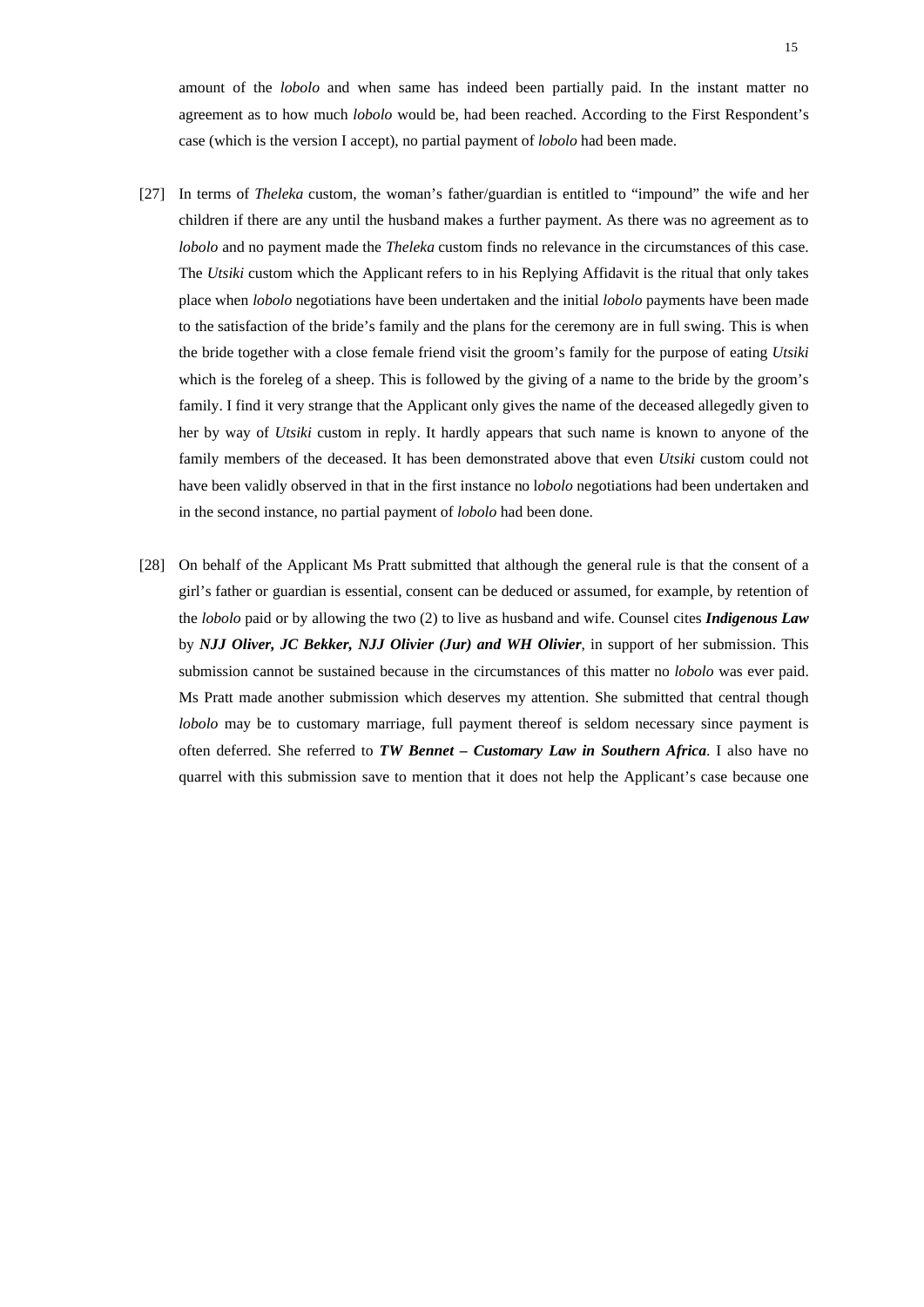amount of the *lobolo* and when same has indeed been partially paid. In the instant matter no agreement as to how much *lobolo* would be, had been reached. According to the First Respondent's case (which is the version I accept), no partial payment of *lobolo* had been made.

- [27] In terms of *Theleka* custom, the woman's father/guardian is entitled to "impound" the wife and her children if there are any until the husband makes a further payment. As there was no agreement as to *lobolo* and no payment made the *Theleka* custom finds no relevance in the circumstances of this case. The *Utsiki* custom which the Applicant refers to in his Replying Affidavit is the ritual that only takes place when *lobolo* negotiations have been undertaken and the initial *lobolo* payments have been made to the satisfaction of the bride's family and the plans for the ceremony are in full swing. This is when the bride together with a close female friend visit the groom's family for the purpose of eating *Utsiki* which is the foreleg of a sheep. This is followed by the giving of a name to the bride by the groom's family. I find it very strange that the Applicant only gives the name of the deceased allegedly given to her by way of *Utsiki* custom in reply. It hardly appears that such name is known to anyone of the family members of the deceased. It has been demonstrated above that even *Utsiki* custom could not have been validly observed in that in the first instance no l*obolo* negotiations had been undertaken and in the second instance, no partial payment of *lobolo* had been done.
- [28] On behalf of the Applicant Ms Pratt submitted that although the general rule is that the consent of a girl's father or guardian is essential, consent can be deduced or assumed, for example, by retention of the *lobolo* paid or by allowing the two (2) to live as husband and wife. Counsel cites *Indigenous Law* by *NJJ Oliver, JC Bekker, NJJ Olivier (Jur) and WH Olivier*, in support of her submission. This submission cannot be sustained because in the circumstances of this matter no *lobolo* was ever paid. Ms Pratt made another submission which deserves my attention. She submitted that central though *lobolo* may be to customary marriage, full payment thereof is seldom necessary since payment is often deferred. She referred to *TW Bennet – Customary Law in Southern Africa*. I also have no quarrel with this submission save to mention that it does not help the Applicant's case because one